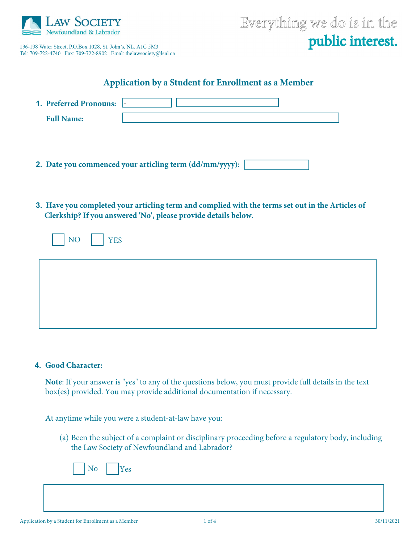

196-198 Water Street, P.O.Box 1028, St. John's, NL, A1C 5M3 Tel: 709-722-4740 Fax: 709-722-8902 Emal: thelawsociety@lsnl.ca



# **Application by a Student for Enrollment as a Member**

|                   | 1. Preferred Pronouns:  - |                                                         |  |  |
|-------------------|---------------------------|---------------------------------------------------------|--|--|
| <b>Full Name:</b> |                           |                                                         |  |  |
|                   |                           |                                                         |  |  |
|                   |                           |                                                         |  |  |
|                   |                           |                                                         |  |  |
|                   |                           | 2. Date you commenced your articling term (dd/mm/yyyy): |  |  |

**3. Have you completed your articling term and complied with the terms set out in the Articles of Clerkship? If you answered 'No', please provide details below.**

| NO YES |  |  |  |
|--------|--|--|--|
|        |  |  |  |
|        |  |  |  |
|        |  |  |  |

#### **4. Good Character:**

**Note**: If your answer is "yes" to any of the questions below, you must provide full details in the text box(es) provided. You may provide additional documentation if necessary.

At anytime while you were a student-at-law have you:

(a) Been the subject of a complaint or disciplinary proceeding before a regulatory body, including the Law Society of Newfoundland and Labrador?

|  |  |  |  | ∸⊾ |
|--|--|--|--|----|
|--|--|--|--|----|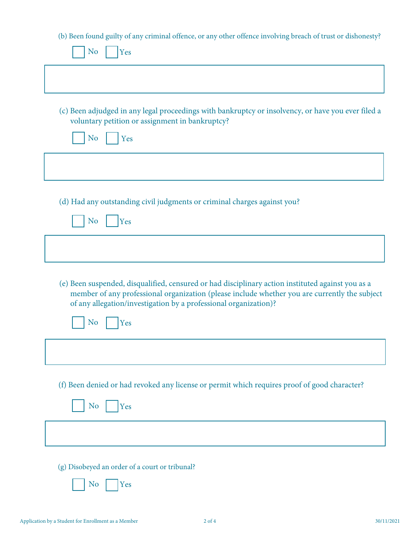(b) Been found guilty of any criminal offence, or any other offence involving breach of trust or dishonesty?

| N <sub>o</sub><br>Yes                                                                                                                                                                                                                                                  |
|------------------------------------------------------------------------------------------------------------------------------------------------------------------------------------------------------------------------------------------------------------------------|
|                                                                                                                                                                                                                                                                        |
| (c) Been adjudged in any legal proceedings with bankruptcy or insolvency, or have you ever filed a                                                                                                                                                                     |
| voluntary petition or assignment in bankruptcy?<br>N <sub>o</sub><br>Yes                                                                                                                                                                                               |
|                                                                                                                                                                                                                                                                        |
| (d) Had any outstanding civil judgments or criminal charges against you?                                                                                                                                                                                               |
| N <sub>o</sub><br>Yes                                                                                                                                                                                                                                                  |
|                                                                                                                                                                                                                                                                        |
| (e) Been suspended, disqualified, censured or had disciplinary action instituted against you as a<br>member of any professional organization (please include whether you are currently the subject<br>of any allegation/investigation by a professional organization)? |
| N <sub>o</sub><br>Yes                                                                                                                                                                                                                                                  |
|                                                                                                                                                                                                                                                                        |
| (f) Been denied or had revoked any license or permit which requires proof of good character?                                                                                                                                                                           |
| N <sub>o</sub><br>Yes                                                                                                                                                                                                                                                  |
|                                                                                                                                                                                                                                                                        |
| (g) Disobeyed an order of a court or tribunal?                                                                                                                                                                                                                         |
| N <sub>o</sub><br>Yes                                                                                                                                                                                                                                                  |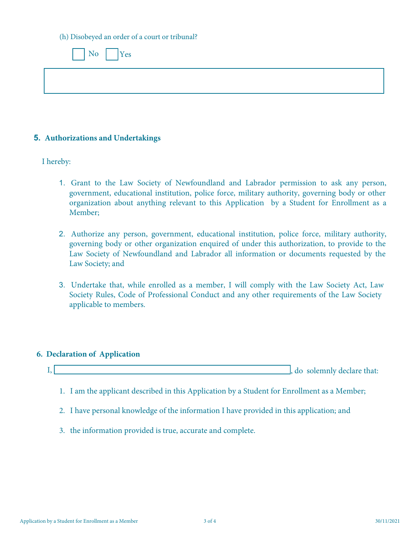(h) Disobeyed an order of a court or tribunal?

| No Yes |  |  |
|--------|--|--|
|        |  |  |
|        |  |  |

### **5. Authorizations and Undertakings**

I hereby:

- 1. Grant to the Law Society of Newfoundland and Labrador permission to ask any person, government, educational institution, police force, military authority, governing body or other organization about anything relevant to this Application by a Student for Enrollment as a Member;
- 2. Authorize any person, government, educational institution, police force, military authority, governing body or other organization enquired of under this authorization, to provide to the Law Society of Newfoundland and Labrador all information or documents requested by the Law Society; and
- 3. Undertake that, while enrolled as a member, I will comply with the Law Society Act, Law Society Rules, Code of Professional Conduct and any other requirements of the Law Society applicable to members.

### **6. Declaration of Application**



- 1. I am the applicant described in this Application by a Student for Enrollment as a Member;
- 2. I have personal knowledge of the information I have provided in this application; and
- 3. the information provided is true, accurate and complete.